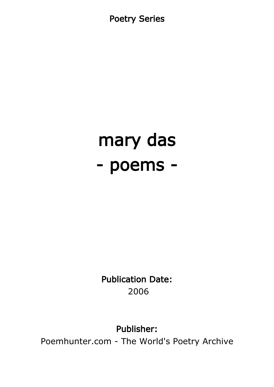Poetry Series

# mary das - poems -

Publication Date: 2006

Publisher:

Poemhunter.com - The World's Poetry Archive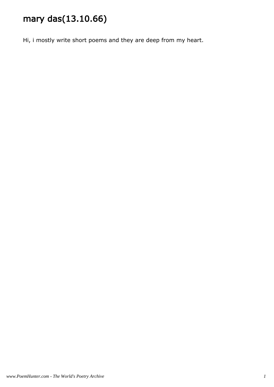# mary das(13.10.66)

Hi, i mostly write short poems and they are deep from my heart.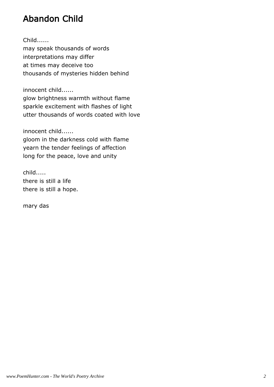# Abandon Child

Child......

may speak thousands of words interpretations may differ at times may deceive too thousands of mysteries hidden behind

innocent child......

glow brightness warmth without flame sparkle excitement with flashes of light utter thousands of words coated with love

innocent child...... gloom in the darkness cold with flame yearn the tender feelings of affection long for the peace, love and unity

child..... there is still a life there is still a hope.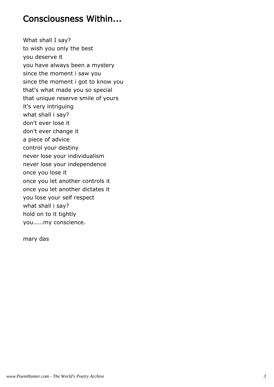#### Consciousness Within...

What shall I say? to wish you only the best you deserve it you have always been a mystery since the moment i saw you since the moment i got to know you that's what made you so special that unique reserve smile of yours it's very intriguing what shall i say? don't ever lose it don't ever change it a piece of advice control your destiny never lose your individualism never lose your independence once you lose it once you let another controls it once you let another dictates it you lose your self respect what shall i say? hold on to it tightly you.....my conscience.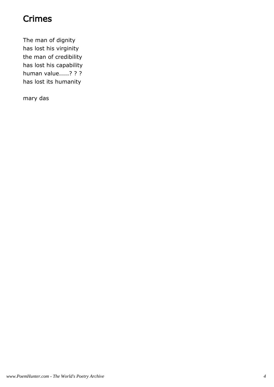## Crimes

The man of dignity has lost his virginity the man of credibility has lost his capability human value.....? ? ? has lost its humanity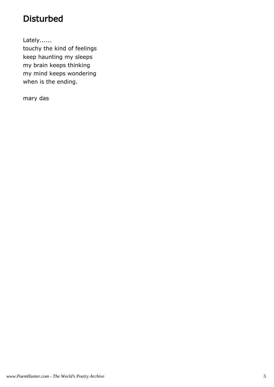# Disturbed

Lately......

touchy the kind of feelings keep haunting my sleeps my brain keeps thinking my mind keeps wondering when is the ending.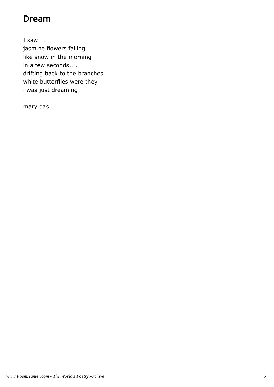## Dream

I saw.... jasmine flowers falling like snow in the morning in a few seconds.... drifting back to the branches white butterflies were they i was just dreaming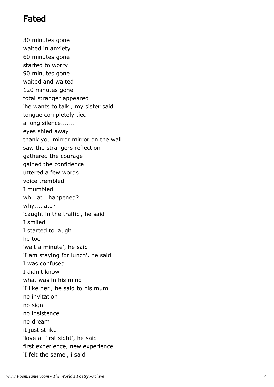## Fated

30 minutes gone waited in anxiety 60 minutes gone started to worry 90 minutes gone waited and waited 120 minutes gone total stranger appeared 'he wants to talk', my sister said tongue completely tied a long silence....... eyes shied away thank you mirror mirror on the wall saw the strangers reflection gathered the courage gained the confidence uttered a few words voice trembled I mumbled wh...at...happened? why....late? 'caught in the traffic', he said I smiled I started to laugh he too 'wait a minute', he said 'I am staying for lunch', he said I was confused I didn't know what was in his mind 'I like her', he said to his mum no invitation no sign no insistence no dream it just strike 'love at first sight', he said first experience, new experience 'I felt the same', i said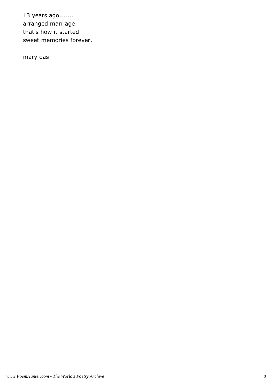13 years ago....... arranged marriage that's how it started sweet memories forever.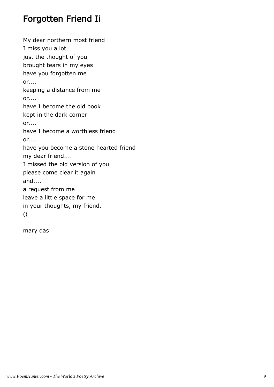## Forgotten Friend Ii

My dear northern most friend I miss you a lot just the thought of you brought tears in my eyes have you forgotten me or.... keeping a distance from me  $or...$ have I become the old book kept in the dark corner or.... have I become a worthless friend or.... have you become a stone hearted friend my dear friend.... I missed the old version of you please come clear it again and.... a request from me leave a little space for me in your thoughts, my friend. ((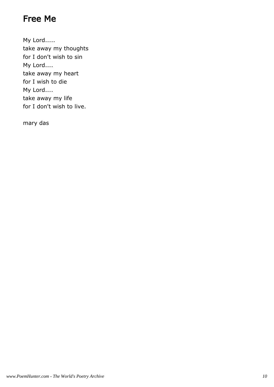# Free Me

My Lord..... take away my thoughts for I don't wish to sin My Lord.... take away my heart for I wish to die My Lord.... take away my life for I don't wish to live.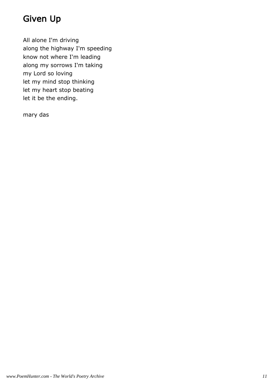# Given Up

All alone I'm driving along the highway I'm speeding know not where I'm leading along my sorrows I'm taking my Lord so loving let my mind stop thinking let my heart stop beating let it be the ending.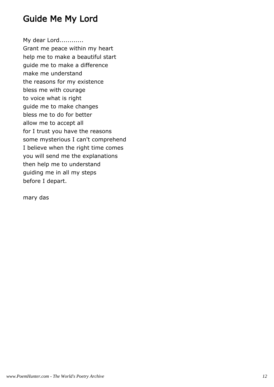## Guide Me My Lord

My dear Lord............

Grant me peace within my heart help me to make a beautiful start guide me to make a difference make me understand the reasons for my existence bless me with courage to voice what is right guide me to make changes bless me to do for better allow me to accept all for I trust you have the reasons some mysterious I can't comprehend I believe when the right time comes you will send me the explanations then help me to understand guiding me in all my steps before I depart.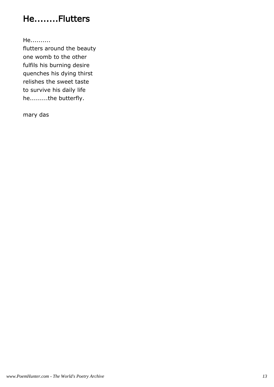# He........Flutters

He..........

flutters around the beauty one womb to the other fulfils his burning desire quenches his dying thirst relishes the sweet taste to survive his daily life he.........the butterfly.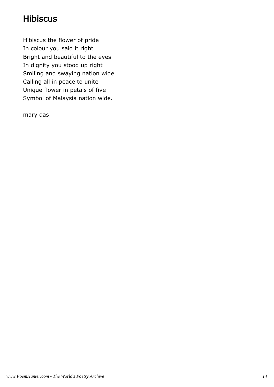# Hibiscus

Hibiscus the flower of pride In colour you said it right Bright and beautiful to the eyes In dignity you stood up right Smiling and swaying nation wide Calling all in peace to unite Unique flower in petals of five Symbol of Malaysia nation wide.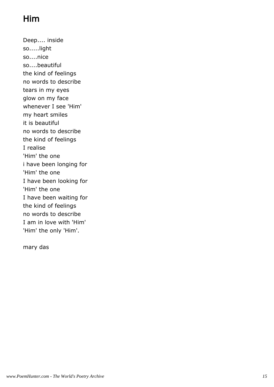# Him

Deep.... inside so.....light so....nice so....beautiful the kind of feelings no words to describe tears in my eyes glow on my face whenever I see 'Him' my heart smiles it is beautiful no words to describe the kind of feelings I realise 'Him' the one i have been longing for 'Him' the one I have been looking for 'Him' the one I have been waiting for the kind of feelings no words to describe I am in love with 'Him' 'Him' the only 'Him'.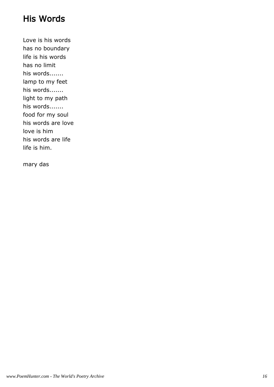## His Words

Love is his words has no boundary life is his words has no limit his words....... lamp to my feet his words....... light to my path his words....... food for my soul his words are love love is him his words are life life is him.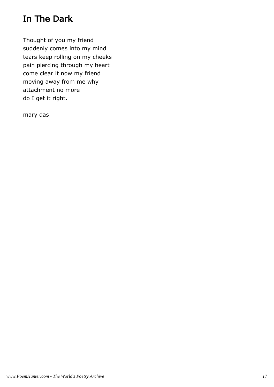# In The Dark

Thought of you my friend suddenly comes into my mind tears keep rolling on my cheeks pain piercing through my heart come clear it now my friend moving away from me why attachment no more do I get it right.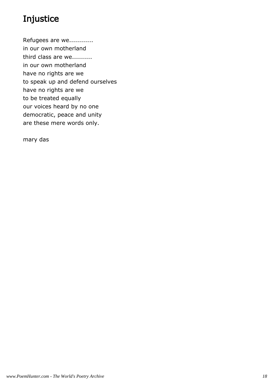# Injustice

Refugees are we............ in our own motherland third class are we.......... in our own motherland have no rights are we to speak up and defend ourselves have no rights are we to be treated equally our voices heard by no one democratic, peace and unity are these mere words only.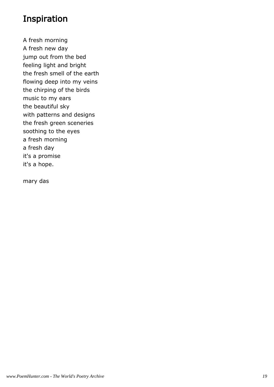#### Inspiration

A fresh morning A fresh new day jump out from the bed feeling light and bright the fresh smell of the earth flowing deep into my veins the chirping of the birds music to my ears the beautiful sky with patterns and designs the fresh green sceneries soothing to the eyes a fresh morning a fresh day it's a promise it's a hope.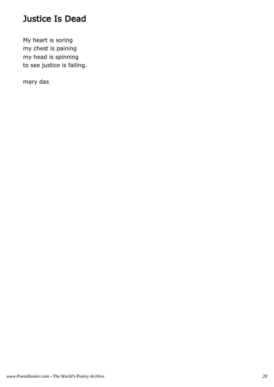## Justice Is Dead

My heart is soring my chest is paining my head is spinning to see justice is failing.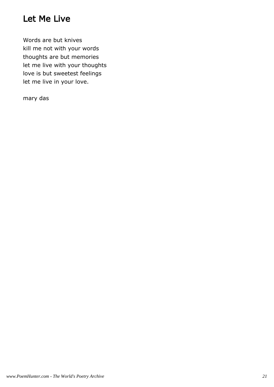## Let Me Live

Words are but knives kill me not with your words thoughts are but memories let me live with your thoughts love is but sweetest feelings let me live in your love.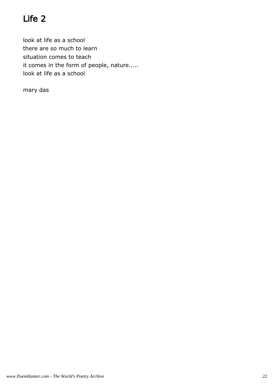# Life 2

look at life as a school there are so much to learn situation comes to teach it comes in the form of people, nature..... look at life as a school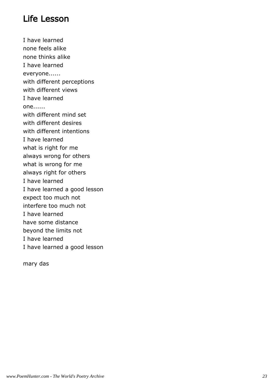## Life Lesson

I have learned none feels alike none thinks alike I have learned everyone...... with different perceptions with different views I have learned one...... with different mind set with different desires with different intentions I have learned what is right for me always wrong for others what is wrong for me always right for others I have learned I have learned a good lesson expect too much not interfere too much not I have learned have some distance beyond the limits not I have learned I have learned a good lesson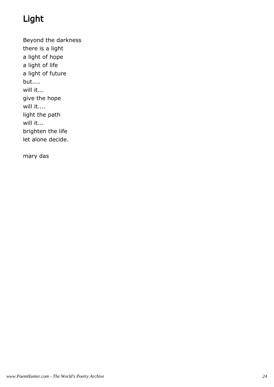# Light

Beyond the darkness there is a light a light of hope a light of life a light of future but.... will it... give the hope will it.... light the path will it... brighten the life let alone decide.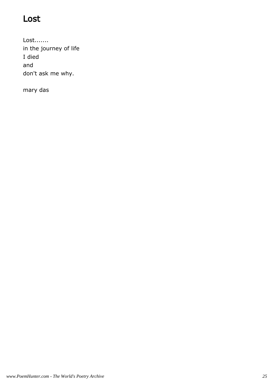# Lost

Lost....... in the journey of life I died and don't ask me why.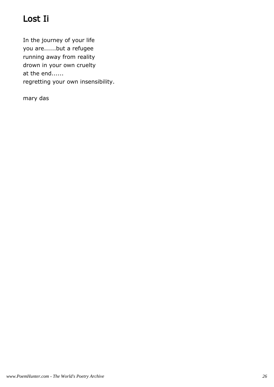# Lost Ii

In the journey of your life you are......but a refugee running away from reality drown in your own cruelty at the end...... regretting your own insensibility.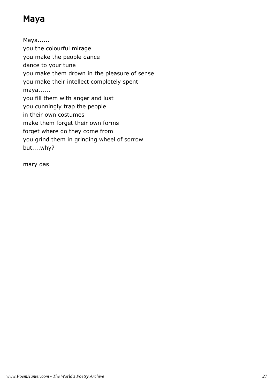# Maya

Maya...... you the colourful mirage you make the people dance dance to your tune you make them drown in the pleasure of sense you make their intellect completely spent maya...... you fill them with anger and lust you cunningly trap the people in their own costumes make them forget their own forms forget where do they come from you grind them in grinding wheel of sorrow but....why?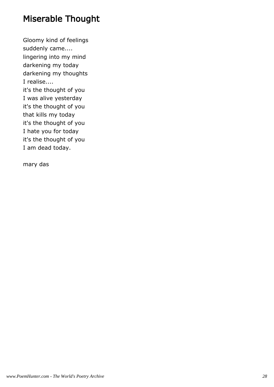# Miserable Thought

Gloomy kind of feelings suddenly came.... lingering into my mind darkening my today darkening my thoughts I realise.... it's the thought of you I was alive yesterday it's the thought of you that kills my today it's the thought of you I hate you for today it's the thought of you I am dead today.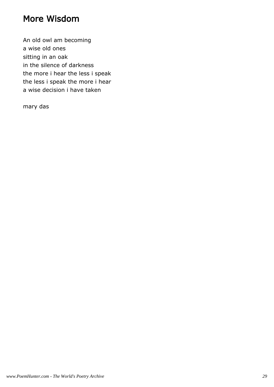## More Wisdom

An old owl am becoming a wise old ones sitting in an oak in the silence of darkness the more i hear the less i speak the less i speak the more i hear a wise decision i have taken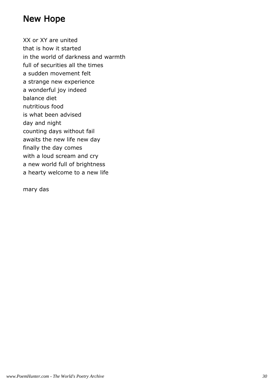#### New Hope

XX or XY are united that is how it started in the world of darkness and warmth full of securities all the times a sudden movement felt a strange new experience a wonderful joy indeed balance diet nutritious food is what been advised day and night counting days without fail awaits the new life new day finally the day comes with a loud scream and cry a new world full of brightness a hearty welcome to a new life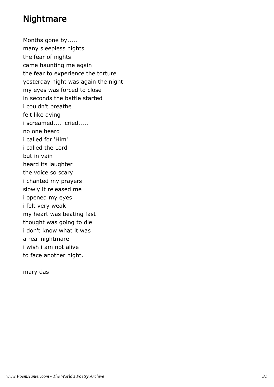#### Nightmare

Months gone by..... many sleepless nights the fear of nights came haunting me again the fear to experience the torture yesterday night was again the night my eyes was forced to close in seconds the battle started i couldn't breathe felt like dying i screamed....i cried..... no one heard i called for 'Him' i called the Lord but in vain heard its laughter the voice so scary i chanted my prayers slowly it released me i opened my eyes i felt very weak my heart was beating fast thought was going to die i don't know what it was a real nightmare i wish i am not alive to face another night.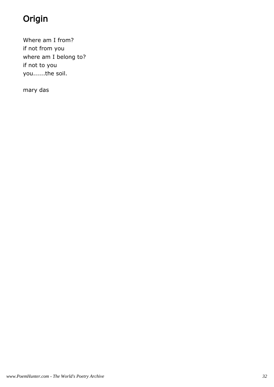# Origin

Where am I from? if not from you where am I belong to? if not to you you......the soil.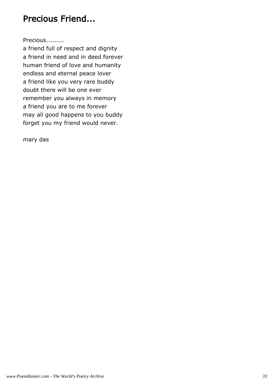## Precious Friend...

Precious.........

a friend full of respect and dignity a friend in need and in deed forever human friend of love and humanity endless and eternal peace lover a friend like you very rare buddy doubt there will be one ever remember you always in memory a friend you are to me forever may all good happens to you buddy forget you my friend would never.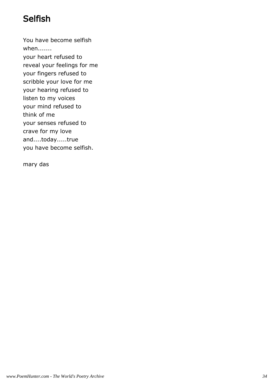# Selfish

You have become selfish when....... your heart refused to reveal your feelings for me your fingers refused to scribble your love for me your hearing refused to listen to my voices your mind refused to think of me your senses refused to crave for my love and....today.....true you have become selfish.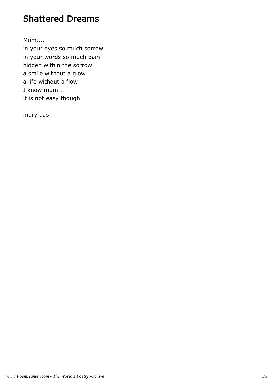## Shattered Dreams

Mum....

in your eyes so much sorrow in your words so much pain hidden within the sorrow a smile without a glow a life without a flow I know mum.... it is not easy though.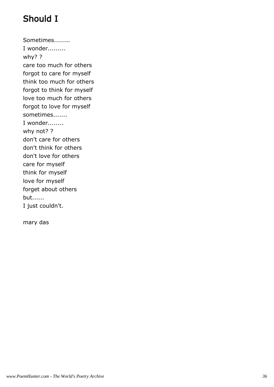# Should I

Sometimes........ I wonder......... why? ? care too much for others forgot to care for myself think too much for others forgot to think for myself love too much for others forgot to love for myself sometimes....... I wonder........ why not? ? don't care for others don't think for others don't love for others care for myself think for myself love for myself forget about others but...... I just couldn't.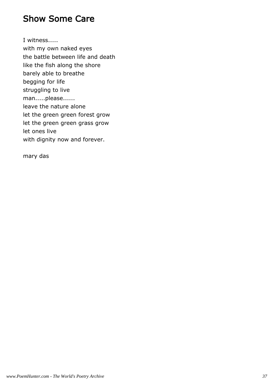#### Show Some Care

I witness..... with my own naked eyes the battle between life and death like the fish along the shore barely able to breathe begging for life struggling to live man.....please...... leave the nature alone let the green green forest grow let the green green grass grow let ones live with dignity now and forever.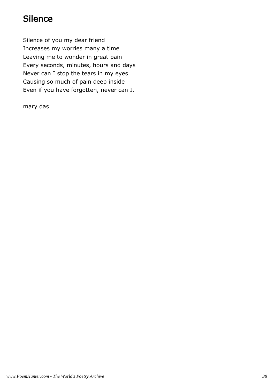# **Silence**

Silence of you my dear friend Increases my worries many a time Leaving me to wonder in great pain Every seconds, minutes, hours and days Never can I stop the tears in my eyes Causing so much of pain deep inside Even if you have forgotten, never can I.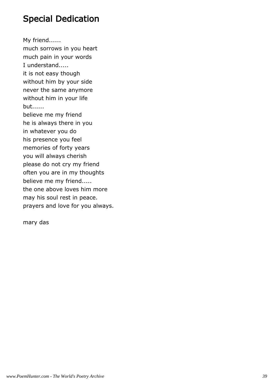## Special Dedication

My friend...... much sorrows in you heart much pain in your words I understand..... it is not easy though without him by your side never the same anymore without him in your life but...... believe me my friend he is always there in you in whatever you do his presence you feel memories of forty years you will always cherish please do not cry my friend often you are in my thoughts believe me my friend..... the one above loves him more may his soul rest in peace.

prayers and love for you always.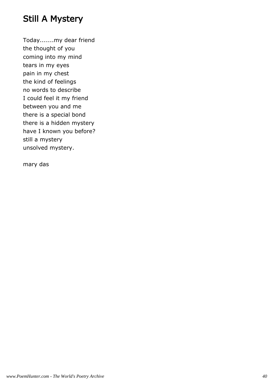## Still A Mystery

Today.......my dear friend the thought of you coming into my mind tears in my eyes pain in my chest the kind of feelings no words to describe I could feel it my friend between you and me there is a special bond there is a hidden mystery have I known you before? still a mystery unsolved mystery.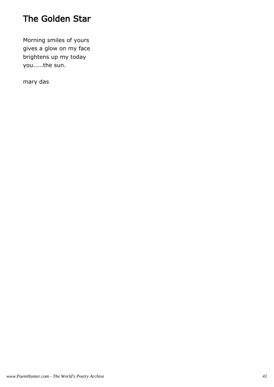# The Golden Star

Morning smiles of yours gives a glow on my face brightens up my today you.....the sun.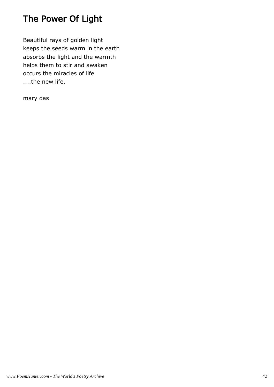# The Power Of Light

Beautiful rays of golden light keeps the seeds warm in the earth absorbs the light and the warmth helps them to stir and awaken occurs the miracles of life ....the new life.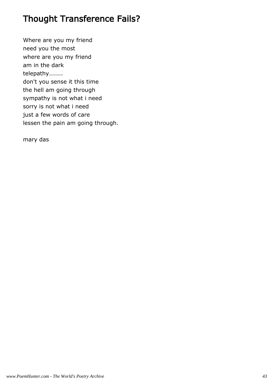## Thought Transference Fails?

Where are you my friend need you the most where are you my friend am in the dark telepathy....... don't you sense it this time the hell am going through sympathy is not what i need sorry is not what i need just a few words of care lessen the pain am going through.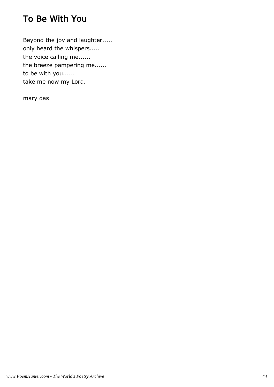# To Be With You

Beyond the joy and laughter..... only heard the whispers..... the voice calling me...... the breeze pampering me...... to be with you...... take me now my Lord.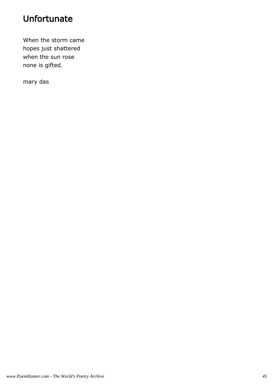# Unfortunate

When the storm came hopes just shattered when the sun rose none is gifted.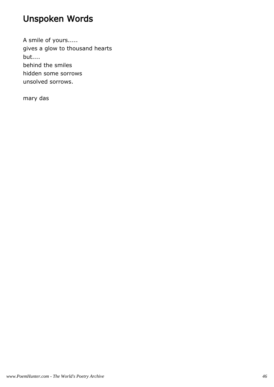# Unspoken Words

A smile of yours..... gives a glow to thousand hearts but.... behind the smiles hidden some sorrows unsolved sorrows.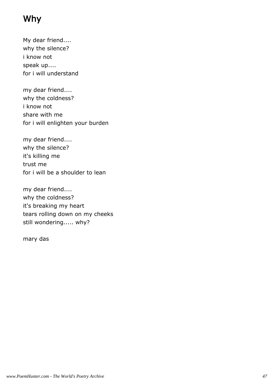## Why

My dear friend.... why the silence? i know not speak up.... for i will understand

my dear friend.... why the coldness? i know not share with me for i will enlighten your burden

my dear friend.... why the silence? it's killing me trust me for i will be a shoulder to lean

my dear friend.... why the coldness? it's breaking my heart tears rolling down on my cheeks still wondering..... why?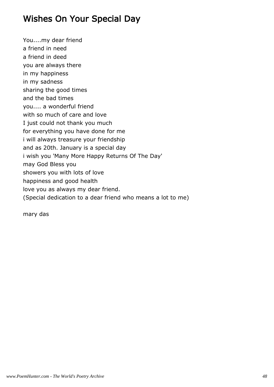## Wishes On Your Special Day

You....my dear friend a friend in need a friend in deed you are always there in my happiness in my sadness sharing the good times and the bad times you.... a wonderful friend with so much of care and love I just could not thank you much for everything you have done for me i will always treasure your friendship and as 20th. January is a special day i wish you 'Many More Happy Returns Of The Day' may God Bless you showers you with lots of love happiness and good health love you as always my dear friend. (Special dedication to a dear friend who means a lot to me)